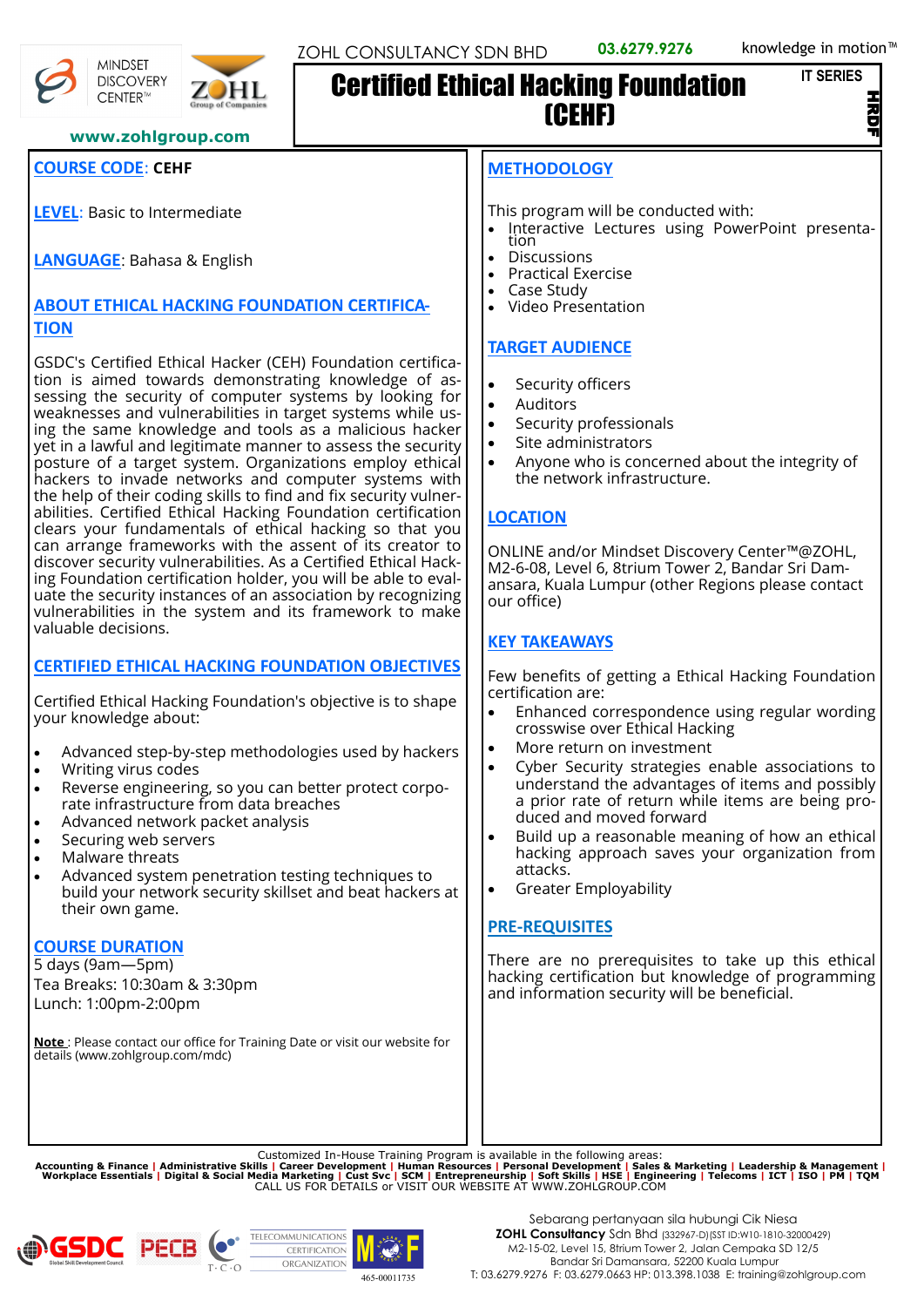```
IT SERIES
```
Z

#### **www.zohlgroup.com**

## **COURSE CODE**: **CEHF**

**MINDSET DISCOVERY** CENTER™

**LEVEL**: Basic to Intermediate

**LANGUAGE**: Bahasa & English

#### **ABOUT ETHICAL HACKING FOUNDATION CERTIFICA-TION**

GSDC's Certified Ethical Hacker (CEH) Foundation certification is aimed towards demonstrating knowledge of assessing the security of computer systems by looking for weaknesses and vulnerabilities in target systems while using the same knowledge and tools as a malicious hacker yet in a lawful and legitimate manner to assess the security posture of a target system. Organizations employ ethical hackers to invade networks and computer systems with the help of their coding skills to find and fix security vulnerabilities. Certified Ethical Hacking Foundation certification clears your fundamentals of ethical hacking so that you can arrange frameworks with the assent of its creator to discover security vulnerabilities. As a Certified Ethical Hacking Foundation certification holder, you will be able to evaluate the security instances of an association by recognizing vulnerabilities in the system and its framework to make valuable decisions.

## **CERTIFIED ETHICAL HACKING FOUNDATION OBJECTIVES**

Certified Ethical Hacking Foundation's objective is to shape your knowledge about:

- Advanced step-by-step methodologies used by hackers
- Writing virus codes
- Reverse engineering, so you can better protect corporate infrastructure from data breaches
- Advanced network packet analysis
- Securing web servers
- Malware threats
- Advanced system penetration testing techniques to build your network security skillset and beat hackers at their own game.

## **COURSE DURATION**

5 days (9am—5pm) Tea Breaks: 10:30am & 3:30pm Lunch: 1:00pm-2:00pm

**Note** : Please contact our office for Training Date or visit our website for details (www.zohlgroup.com/mdc)

#### **METHODOLOGY**

(CEHF)

Certified Ethical Hacking Foundation

This program will be conducted with:

- Interactive Lectures using PowerPoint presentation
- **Discussions**
- Practical Exercise
- Case Study
- Video Presentation

## **TARGET AUDIENCE**

- Security officers
- Auditors
- Security professionals
- Site administrators
- Anyone who is concerned about the integrity of the network infrastructure.

#### **LOCATION**

ONLINE and/or Mindset Discovery Center™@ZOHL, M2-6-08, Level 6, 8trium Tower 2, Bandar Sri Damansara, Kuala Lumpur (other Regions please contact our office)

## **KEY TAKEAWAYS**

Few benefits of getting a Ethical Hacking Foundation certification are:

- Enhanced correspondence using regular wording crosswise over Ethical Hacking
- More return on investment
- Cyber Security strategies enable associations to understand the advantages of items and possibly a prior rate of return while items are being produced and moved forward
- Build up a reasonable meaning of how an ethical hacking approach saves your organization from attacks.
- Greater Employability

#### **PRE-REQUISITES**

There are no prerequisites to take up this ethical hacking certification but knowledge of programming and information security will be beneficial.

Customized In-House Training Program is available in the following areas:<br>Accounting & Finance | Administrative Skills | Career Development | Human Resources | Personal Development | Sales & Marketing | Leadership & Manag





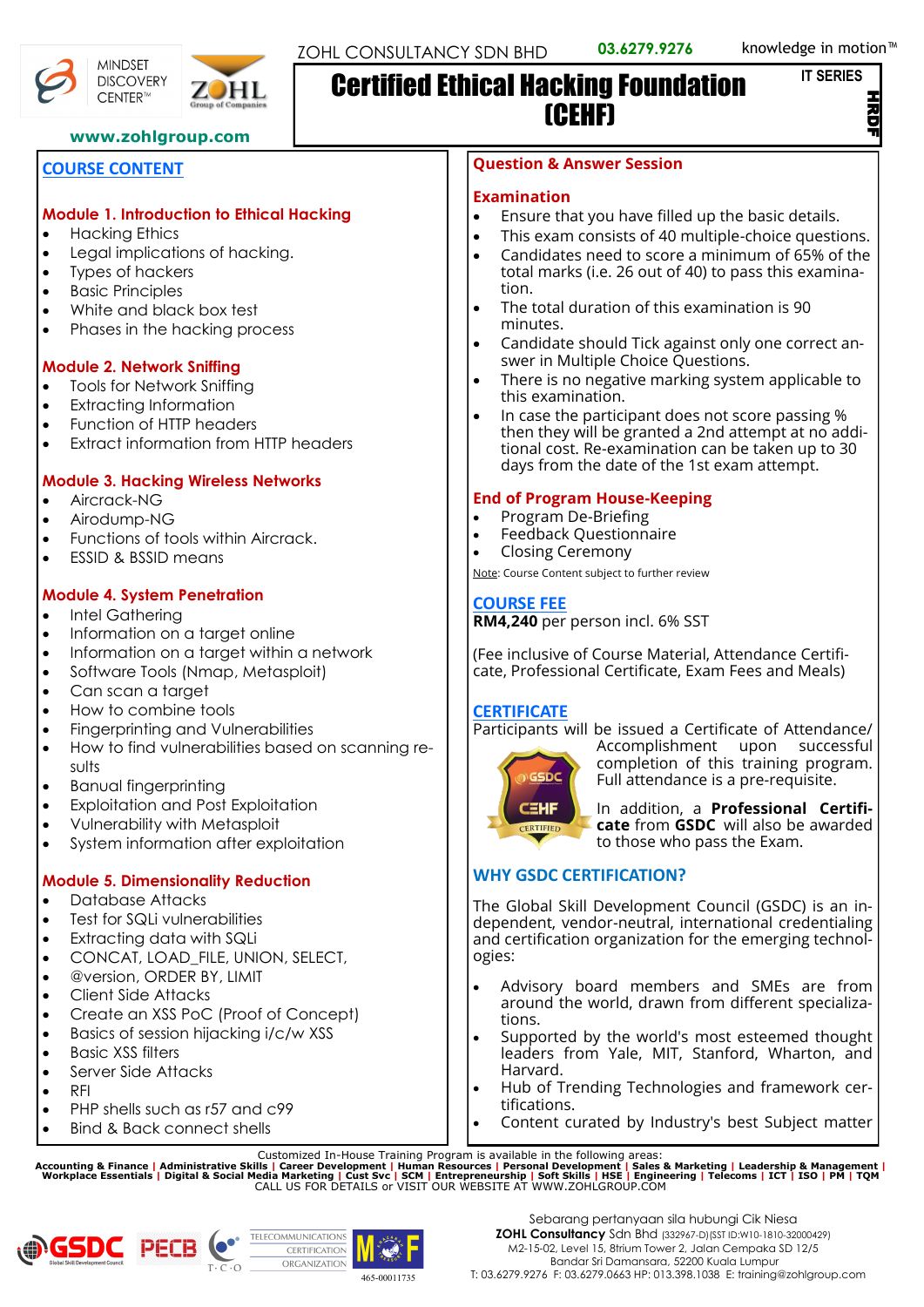```
IT SERIES
```
Z

#### **www.zohlgroup.com**

#### **COURSE CONTENT**

#### **Module 1. Introduction to Ethical Hacking**

- Hacking Ethics
- Legal implications of hacking.
- Types of hackers
- Basic Principles
- White and black box test
- Phases in the hacking process

#### **Module 2. Network Sniffing**

- Tools for Network Sniffing
- **Extracting Information**
- Function of HTTP headers
- Extract information from HTTP headers

## **Module 3. Hacking Wireless Networks**

- Aircrack-NG
- Airodump-NG
- Functions of tools within Aircrack.
- ESSID & BSSID means
- **Module 4. System Penetration**
- Intel Gathering
- Information on a target online
- Information on a target within a network
- Software Tools (Nmap, Metasploit)
- Can scan a target
- How to combine tools
- Fingerprinting and Vulnerabilities
- How to find vulnerabilities based on scanning results
- Banual fingerprinting
- Exploitation and Post Exploitation
- Vulnerability with Metasploit
- System information after exploitation

## **Module 5. Dimensionality Reduction**

- Database Attacks
- Test for SQLi vulnerabilities
- Extracting data with SQLi
- CONCAT, LOAD FILE, UNION, SELECT,
- @version, ORDER BY, LIMIT
- Client Side Attacks
- Create an XSS PoC (Proof of Concept)
- Basics of session hijacking i/c/w XSS
- Basic XSS filters
- Server Side Attacks
- RFI
- PHP shells such as r57 and c99
- Bind & Back connect shells

#### **Question & Answer Session**

#### **Examination**

- Ensure that you have filled up the basic details.
- This exam consists of 40 multiple-choice questions. • Candidates need to score a minimum of 65% of the
- total marks (i.e. 26 out of 40) to pass this examination.
- The total duration of this examination is 90 minutes.
- Candidate should Tick against only one correct answer in Multiple Choice Questions.
- There is no negative marking system applicable to this examination.
- In case the participant does not score passing % then they will be granted a 2nd attempt at no additional cost. Re-examination can be taken up to 30 days from the date of the 1st exam attempt.

## **End of Program House-Keeping**

- Program De-Briefing
- Feedback Questionnaire
- Closing Ceremony

Note: Course Content subject to further review

#### **COURSE FEE**

**RM4,240** per person incl. 6% SST

(Fee inclusive of Course Material, Attendance Certificate, Professional Certificate, Exam Fees and Meals)

## **CERTIFICATE**

Participants will be issued a Certificate of Attendance/



Accomplishment upon successful completion of this training program. Full attendance is a pre-requisite.

In addition, a **Professional Certificate** from **GSDC** will also be awarded to those who pass the Exam.

## **WHY GSDC CERTIFICATION?**

The Global Skill Development Council (GSDC) is an independent, vendor-neutral, international credentialing and certification organization for the emerging technologies:

- Advisory board members and SMEs are from around the world, drawn from different specializations.
- Supported by the world's most esteemed thought leaders from Yale, MIT, Stanford, Wharton, and Harvard.
- Hub of Trending Technologies and framework certifications.
- Content curated by Industry's best Subject matter

Customized In-House Training Program is available in the following areas:<br>Accounting & Finance | Administrative Skills | Career Development | Human Resources | Personal Development | Sales & Marketing | Leadership & Manag





**MINDSET DISCOVERY** CENTER™



# Certified Ethical Hacking Foundation (CEHF)